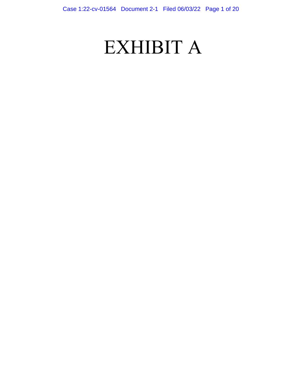# EXHIBIT A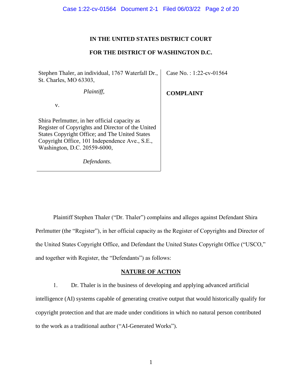# **IN THE UNITED STATES DISTRICT COURT**

# **FOR THE DISTRICT OF WASHINGTON D.C.**

Stephen Thaler, an individual, 1767 Waterfall Dr., St. Charles, MO 63303, Case No. : 1:22-cv-01564

*Plaintiff*,

**COMPLAINT**

v.

Shira Perlmutter, in her official capacity as Register of Copyrights and Director of the United States Copyright Office; and The United States Copyright Office, 101 Independence Ave., S.E., Washington, D.C. 20559-6000,

*Defendants*.

Plaintiff Stephen Thaler ("Dr. Thaler") complains and alleges against Defendant Shira Perlmutter (the "Register"), in her official capacity as the Register of Copyrights and Director of the United States Copyright Office, and Defendant the United States Copyright Office ("USCO," and together with Register, the "Defendants") as follows:

# **NATURE OF ACTION**

1. Dr. Thaler is in the business of developing and applying advanced artificial intelligence (AI) systems capable of generating creative output that would historically qualify for copyright protection and that are made under conditions in which no natural person contributed to the work as a traditional author ("AI-Generated Works").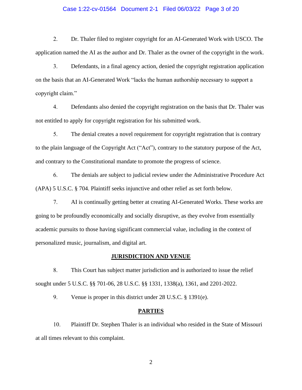#### Case 1:22-cv-01564 Document 2-1 Filed 06/03/22 Page 3 of 20

2. Dr. Thaler filed to register copyright for an AI-Generated Work with USCO. The application named the AI as the author and Dr. Thaler as the owner of the copyright in the work.

3. Defendants, in a final agency action, denied the copyright registration application on the basis that an AI-Generated Work "lacks the human authorship necessary to support a copyright claim."

4. Defendants also denied the copyright registration on the basis that Dr. Thaler was not entitled to apply for copyright registration for his submitted work.

5. The denial creates a novel requirement for copyright registration that is contrary to the plain language of the Copyright Act ("Act"), contrary to the statutory purpose of the Act, and contrary to the Constitutional mandate to promote the progress of science.

6. The denials are subject to judicial review under the Administrative Procedure Act (APA) 5 U.S.C. § 704. Plaintiff seeks injunctive and other relief as set forth below.

7. AI is continually getting better at creating AI-Generated Works. These works are going to be profoundly economically and socially disruptive, as they evolve from essentially academic pursuits to those having significant commercial value, including in the context of personalized music, journalism, and digital art.

#### **JURISDICTION AND VENUE**

8. This Court has subject matter jurisdiction and is authorized to issue the relief sought under 5 U.S.C. §§ 701-06, 28 U.S.C. §§ 1331, 1338(a), 1361, and 2201-2022.

9. Venue is proper in this district under 28 U.S.C. § 1391(e).

#### **PARTIES**

10. Plaintiff Dr. Stephen Thaler is an individual who resided in the State of Missouri at all times relevant to this complaint.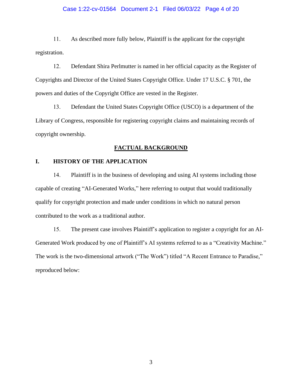#### Case 1:22-cv-01564 Document 2-1 Filed 06/03/22 Page 4 of 20

11. As described more fully below, Plaintiff is the applicant for the copyright registration.

12. Defendant Shira Perlmutter is named in her official capacity as the Register of Copyrights and Director of the United States Copyright Office. Under 17 U.S.C. § 701, the powers and duties of the Copyright Office are vested in the Register.

13. Defendant the United States Copyright Office (USCO) is a department of the Library of Congress, responsible for registering copyright claims and maintaining records of copyright ownership.

### **FACTUAL BACKGROUND**

## **I. HISTORY OF THE APPLICATION**

14. Plaintiff is in the business of developing and using AI systems including those capable of creating "AI-Generated Works," here referring to output that would traditionally qualify for copyright protection and made under conditions in which no natural person contributed to the work as a traditional author.

15. The present case involves Plaintiff's application to register a copyright for an AI-Generated Work produced by one of Plaintiff's AI systems referred to as a "Creativity Machine." The work is the two-dimensional artwork ("The Work") titled "A Recent Entrance to Paradise," reproduced below: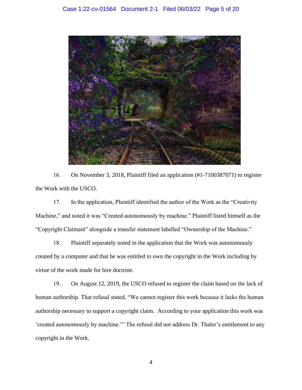

16. On November 3, 2018, Plaintiff filed an application (#1-7100387071) to register the Work with the USCO.

17. In the application, Plaintiff identified the author of the Work as the "Creativity Machine," and noted it was "Created autonomously by machine." Plaintiff listed himself as the "Copyright Claimant" alongside a transfer statement labelled "Ownership of the Machine."

18. Plaintiff separately noted in the application that the Work was autonomously created by a computer and that he was entitled to own the copyright in the Work including by virtue of the work made for hire doctrine.

19. On August 12, 2019, the USCO refused to register the claim based on the lack of human authorship. That refusal stated, "We cannot register this work because it lacks the human authorship necessary to support a copyright claim. According to your application this work was 'created autonomously by machine.'" The refusal did not address Dr. Thaler's entitlement to any copyright in the Work.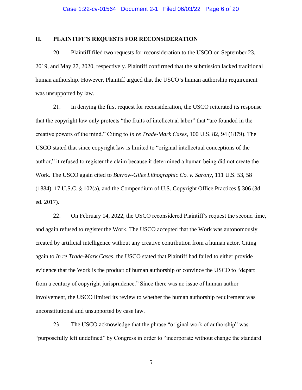## **II. PLAINTIFF'S REQUESTS FOR RECONSIDERATION**

20. Plaintiff filed two requests for reconsideration to the USCO on September 23, 2019, and May 27, 2020, respectively. Plaintiff confirmed that the submission lacked traditional human authorship. However, Plaintiff argued that the USCO's human authorship requirement was unsupported by law.

21. In denying the first request for reconsideration, the USCO reiterated its response that the copyright law only protects "the fruits of intellectual labor" that "are founded in the creative powers of the mind." Citing to *In re Trade-Mark Cases*, 100 U.S. 82, 94 (1879). The USCO stated that since copyright law is limited to "original intellectual conceptions of the author," it refused to register the claim because it determined a human being did not create the Work. The USCO again cited to *Burrow-Giles Lithographic Co. v. Sarony*, 111 U.S. 53, 58 (1884), 17 U.S.C. § 102(a), and the Compendium of U.S. Copyright Office Practices § 306 (3d ed. 2017).

22. On February 14, 2022, the USCO reconsidered Plaintiff's request the second time, and again refused to register the Work. The USCO accepted that the Work was autonomously created by artificial intelligence without any creative contribution from a human actor. Citing again to *In re Trade-Mark Cases*, the USCO stated that Plaintiff had failed to either provide evidence that the Work is the product of human authorship or convince the USCO to "depart from a century of copyright jurisprudence." Since there was no issue of human author involvement, the USCO limited its review to whether the human authorship requirement was unconstitutional and unsupported by case law.

23. The USCO acknowledge that the phrase "original work of authorship" was "purposefully left undefined" by Congress in order to "incorporate without change the standard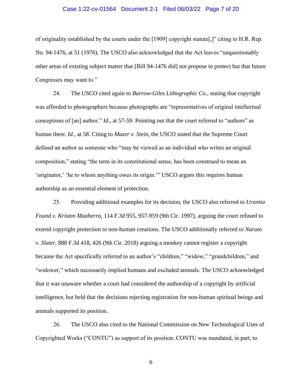#### Case 1:22-cv-01564 Document 2-1 Filed 06/03/22 Page 7 of 20

of originality established by the courts under the [1909] copyright statute[,]" citing to H.R. Rep. No. 94-1476, at 51 (1976). The USCO also acknowledged that the Act leaves "unquestionably other areas of existing subject matter that [Bill 94-1476 did] not propose to protect but that future Congresses may want to."

24. The USCO cited again to *Burrow-Giles Lithographic Co.*, stating that copyright was afforded to photographers because photographs are "representatives of original intellectual conceptions of [an] author." *Id.*, at 57-59. Pointing out that the court referred to "authors" as human there. *Id.*, at 58. Citing to *Mazer v. Stein*, the USCO stated that the Supreme Court defined an author as someone who "may be viewed as an individual who writes an original composition," stating "the term in its constitutional sense, has been construed to mean an 'originator,' 'he to whom anything owes its origin.'" USCO argues this requires human authorship as an essential element of protection.

25. Providing additional examples for its decision, the USCO also referred to *Urantia Found v. Kristen Maaherra*, 114 F.3d 955, 957-959 (9th Cir. 1997), arguing the court refused to extend copyright protection to non-human creations. The USCO additionally referred to *Naruto v. Slater*, 888 F.3d 418, 426 (9th Cir. 2018) arguing a monkey cannot register a copyright because the Act specifically referred to an author's "children," "widow," "grandchildren," and "widower," which necessarily implied humans and excluded animals. The USCO acknowledged that it was unaware whether a court had considered the authorship of a copyright by artificial intelligence, but held that the decisions rejecting registration for non-human spiritual beings and animals supported its position.

26. The USCO also cited to the National Commission on New Technological Uses of Copyrighted Works ("CONTU") as support of its position. CONTU was mandated, in part, to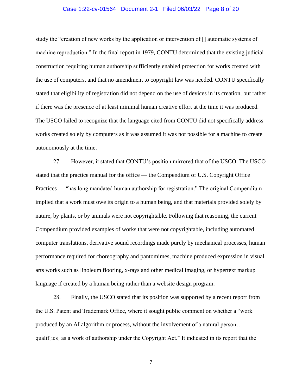#### Case 1:22-cv-01564 Document 2-1 Filed 06/03/22 Page 8 of 20

study the "creation of new works by the application or intervention of [] automatic systems of machine reproduction." In the final report in 1979, CONTU determined that the existing judicial construction requiring human authorship sufficiently enabled protection for works created with the use of computers, and that no amendment to copyright law was needed. CONTU specifically stated that eligibility of registration did not depend on the use of devices in its creation, but rather if there was the presence of at least minimal human creative effort at the time it was produced. The USCO failed to recognize that the language cited from CONTU did not specifically address works created solely by computers as it was assumed it was not possible for a machine to create autonomously at the time.

27. However, it stated that CONTU's position mirrored that of the USCO. The USCO stated that the practice manual for the office — the Compendium of U.S. Copyright Office Practices — "has long mandated human authorship for registration." The original Compendium implied that a work must owe its origin to a human being, and that materials provided solely by nature, by plants, or by animals were not copyrightable. Following that reasoning, the current Compendium provided examples of works that were not copyrightable, including automated computer translations, derivative sound recordings made purely by mechanical processes, human performance required for choreography and pantomimes, machine produced expression in visual arts works such as linoleum flooring, x-rays and other medical imaging, or hypertext markup language if created by a human being rather than a website design program.

28. Finally, the USCO stated that its position was supported by a recent report from the U.S. Patent and Trademark Office, where it sought public comment on whether a "work produced by an AI algorithm or process, without the involvement of a natural person… qualif[ies] as a work of authorship under the Copyright Act." It indicated in its report that the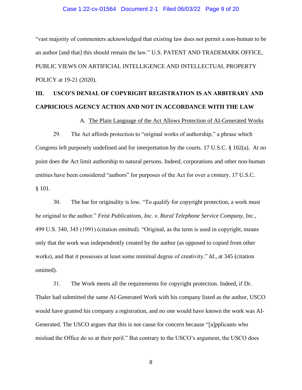#### Case 1:22-cv-01564 Document 2-1 Filed 06/03/22 Page 9 of 20

"vast majority of commenters acknowledged that existing law does not permit a non-human to be an author [and that] this should remain the law." U.S. PATENT AND TRADEMARK OFFICE, PUBLIC VIEWS ON ARTIFICIAL INTELLIGENCE AND INTELLECTUAL PROPERTY POLICY at 19-21 (2020).

# **III. USCO'S DENIAL OF COPYRIGHT REGISTRATION IS AN ARBITRARY AND CAPRICIOUS AGENCY ACTION AND NOT IN ACCORDANCE WITH THE LAW**

A. The Plain Language of the Act Allows Protection of AI-Generated Works

29. The Act affords protection to "original works of authorship," a phrase which Congress left purposely undefined and for interpretation by the courts. 17 U.S.C. § 102(a). At no point does the Act limit authorship to natural persons. Indeed, corporations and other non-human entities have been considered "authors" for purposes of the Act for over a century. 17 U.S.C. § 101.

30. The bar for originality is low. "To qualify for copyright protection, a work must be original to the author." *Feist Publications, Inc. v. Rural Telephone Service Company, Inc.*, 499 U.S. 340, 345 (1991) (citation omitted). "Original, as the term is used in copyright, means only that the work was independently created by the author (as opposed to copied from other works), and that it possesses at least some minimal degree of creativity." *Id*., at 345 (citation omitted).

31. The Work meets all the requirements for copyright protection. Indeed, if Dr. Thaler had submitted the same AI-Generated Work with his company listed as the author, USCO would have granted his company a registration, and no one would have known the work was AI-Generated. The USCO argues that this is not cause for concern because "[a]pplicants who mislead the Office do so at their peril." But contrary to the USCO's argument, the USCO does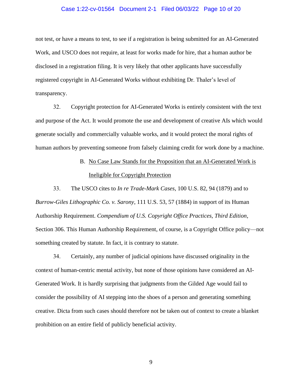#### Case 1:22-cv-01564 Document 2-1 Filed 06/03/22 Page 10 of 20

not test, or have a means to test, to see if a registration is being submitted for an AI-Generated Work, and USCO does not require, at least for works made for hire, that a human author be disclosed in a registration filing. It is very likely that other applicants have successfully registered copyright in AI-Generated Works without exhibiting Dr. Thaler's level of transparency.

32. Copyright protection for AI-Generated Works is entirely consistent with the text and purpose of the Act. It would promote the use and development of creative AIs which would generate socially and commercially valuable works, and it would protect the moral rights of human authors by preventing someone from falsely claiming credit for work done by a machine.

# B. No Case Law Stands for the Proposition that an AI-Generated Work is Ineligible for Copyright Protection

33. The USCO cites to *In re Trade-Mark Cases*, 100 U.S. 82, 94 (1879) and to *Burrow-Giles Lithographic Co. v. Sarony*, 111 U.S. 53, 57 (1884) in support of its Human Authorship Requirement. *Compendium of U.S. Copyright Office Practices, Third Edition*, Section 306. This Human Authorship Requirement, of course, is a Copyright Office policy—not something created by statute. In fact, it is contrary to statute.

34. Certainly, any number of judicial opinions have discussed originality in the context of human-centric mental activity, but none of those opinions have considered an AI-Generated Work. It is hardly surprising that judgments from the Gilded Age would fail to consider the possibility of AI stepping into the shoes of a person and generating something creative. Dicta from such cases should therefore not be taken out of context to create a blanket prohibition on an entire field of publicly beneficial activity.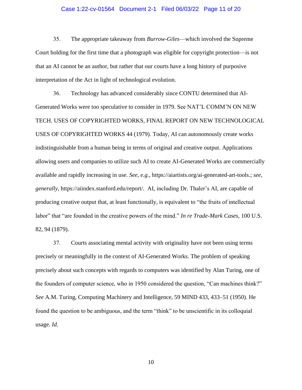#### Case 1:22-cv-01564 Document 2-1 Filed 06/03/22 Page 11 of 20

35. The appropriate takeaway from *Burrow-Giles*—which involved the Supreme Court holding for the first time that a photograph was eligible for copyright protection—is not that an AI cannot be an author, but rather that our courts have a long history of purposive interpretation of the Act in light of technological evolution.

36. Technology has advanced considerably since CONTU determined that AI-Generated Works were too speculative to consider in 1979. See NAT'L COMM'N ON NEW TECH. USES OF COPYRIGHTED WORKS, FINAL REPORT ON NEW TECHNOLOGICAL USES OF COPYRIGHTED WORKS 44 (1979). Today, AI can autonomously create works indistinguishable from a human being in terms of original and creative output. Applications allowing users and companies to utilize such AI to create AI-Generated Works are commercially available and rapidly increasing in use. *See, e.g.*, [https://aiartists.org/ai-generated-art-tools.](https://aiartists.org/ai-generated-art-tools); *see, generally*, https://aiindex.stanford.edu/report/. AI, including Dr. Thaler's AI, are capable of producing creative output that, at least functionally, is equivalent to "the fruits of intellectual labor" that "are founded in the creative powers of the mind." *In re Trade-Mark Cases*, 100 U.S. 82, 94 (1879).

37. Courts associating mental activity with originality have not been using terms precisely or meaningfully in the context of AI-Generated Works. The problem of speaking precisely about such concepts with regards to computers was identified by Alan Turing, one of the founders of computer science, who in 1950 considered the question, "Can machines think?" *See* A.M. Turing, Computing Machinery and Intelligence, 59 MIND 433, 433–51 (1950). He found the question to be ambiguous, and the term "think" to be unscientific in its colloquial usage. *Id.*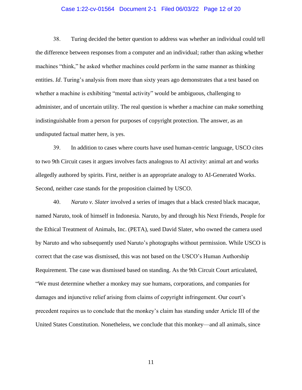#### Case 1:22-cv-01564 Document 2-1 Filed 06/03/22 Page 12 of 20

38. Turing decided the better question to address was whether an individual could tell the difference between responses from a computer and an individual; rather than asking whether machines "think," he asked whether machines could perform in the same manner as thinking entities. *Id*. Turing's analysis from more than sixty years ago demonstrates that a test based on whether a machine is exhibiting "mental activity" would be ambiguous, challenging to administer, and of uncertain utility. The real question is whether a machine can make something indistinguishable from a person for purposes of copyright protection. The answer, as an undisputed factual matter here, is yes.

39. In addition to cases where courts have used human-centric language, USCO cites to two 9th Circuit cases it argues involves facts analogous to AI activity: animal art and works allegedly authored by spirits. First, neither is an appropriate analogy to AI-Generated Works. Second, neither case stands for the proposition claimed by USCO.

40. *Naruto v. Slater* involved a series of images that a black crested black macaque, named Naruto, took of himself in Indonesia. Naruto, by and through his Next Friends, People for the Ethical Treatment of Animals, Inc. (PETA), sued David Slater, who owned the camera used by Naruto and who subsequently used Naruto's photographs without permission. While USCO is correct that the case was dismissed, this was not based on the USCO's Human Authorship Requirement. The case was dismissed based on standing. As the 9th Circuit Court articulated, "We must determine whether a monkey may sue humans, corporations, and companies for damages and injunctive relief arising from claims of copyright infringement. Our court's precedent requires us to conclude that the monkey's claim has standing under Article III of the United States Constitution. Nonetheless, we conclude that this monkey—and all animals, since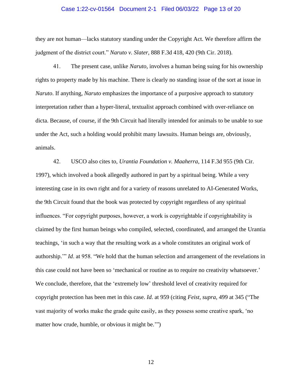#### Case 1:22-cv-01564 Document 2-1 Filed 06/03/22 Page 13 of 20

they are not human—lacks statutory standing under the Copyright Act. We therefore affirm the judgment of the district court." *Naruto v. Slater*, 888 F.3d 418, 420 (9th Cir. 2018).

41. The present case, unlike *Naruto*, involves a human being suing for his ownership rights to property made by his machine. There is clearly no standing issue of the sort at issue in *Naruto*. If anything, *Naruto* emphasizes the importance of a purposive approach to statutory interpretation rather than a hyper-literal, textualist approach combined with over-reliance on dicta. Because, of course, if the 9th Circuit had literally intended for animals to be unable to sue under the Act, such a holding would prohibit many lawsuits. Human beings are, obviously, animals.

42. USCO also cites to, *Urantia Foundation v. Maaherra*, 114 F.3d 955 (9th Cir. 1997), which involved a book allegedly authored in part by a spiritual being. While a very interesting case in its own right and for a variety of reasons unrelated to AI-Generated Works, the 9th Circuit found that the book was protected by copyright regardless of any spiritual influences. "For copyright purposes, however, a work is copyrightable if copyrightability is claimed by the first human beings who compiled, selected, coordinated, and arranged the Urantia teachings, 'in such a way that the resulting work as a whole constitutes an original work of authorship.'" *Id*. at 958. "We hold that the human selection and arrangement of the revelations in this case could not have been so 'mechanical or routine as to require no creativity whatsoever.' We conclude, therefore, that the 'extremely low' threshold level of creativity required for copyright protection has been met in this case. *Id*. at 959 (citing *Feist*, *supra*, 499 at 345 ("The vast majority of works make the grade quite easily, as they possess some creative spark, 'no matter how crude, humble, or obvious it might be."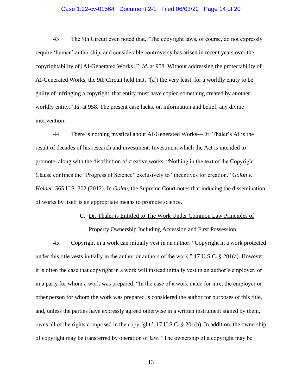#### Case 1:22-cv-01564 Document 2-1 Filed 06/03/22 Page 14 of 20

43. The 9th Circuit even noted that, "The copyright laws, of course, do not expressly require 'human' authorship, and considerable controversy has arisen in recent years over the copyrightability of [AI-Generated Works]." *Id*. at 958. Without addressing the protectability of AI-Generated Works, the 9th Circuit held that, "[a]t the very least, for a worldly entity to be guilty of infringing a copyright, that entity must have copied something created by another worldly entity." *Id*. at 958. The present case lacks, on information and belief, any divine intervention.

44. There is nothing mystical about AI-Generated Works—Dr. Thaler's AI is the result of decades of his research and investment. Investment which the Act is intended to promote, along with the distribution of creative works. "Nothing in the text of the Copyright Clause confines the "Progress of Science" exclusively to "incentives for creation." *Golan v. Holder*, 565 U.S. 302 (2012). In *Golan*, the Supreme Court notes that inducing the dissemination of works by itself is an appropriate means to promote science.

#### C. Dr. Thaler is Entitled to The Work Under Common Law Principles of

#### Property Ownership Including Accession and First Possession

45. Copyright in a work can initially vest in an author. "Copyright in a work protected under this title vests initially in the author or authors of the work." 17 U.S.C. § 201(a). However, it is often the case that copyright in a work will instead initially vest in an author's employer, or in a party for whom a work was prepared. "In the case of a work made for hire, the employer or other person for whom the work was prepared is considered the author for purposes of this title, and, unless the parties have expressly agreed otherwise in a written instrument signed by them, owns all of the rights comprised in the copyright." 17 U.S.C. § 201(b). In addition, the ownership of copyright may be transferred by operation of law. "The ownership of a copyright may be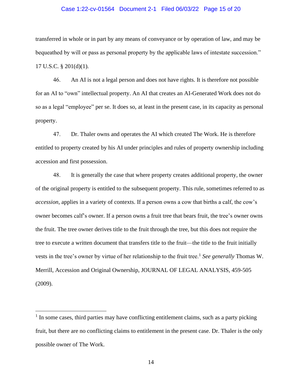#### Case 1:22-cv-01564 Document 2-1 Filed 06/03/22 Page 15 of 20

transferred in whole or in part by any means of conveyance or by operation of law, and may be bequeathed by will or pass as personal property by the applicable laws of intestate succession." 17 U.S.C. § 201(d)(1).

46. An AI is not a legal person and does not have rights. It is therefore not possible for an AI to "own" intellectual property. An AI that creates an AI-Generated Work does not do so as a legal "employee" per se. It does so, at least in the present case, in its capacity as personal property.

47. Dr. Thaler owns and operates the AI which created The Work. He is therefore entitled to property created by his AI under principles and rules of property ownership including accession and first possession.

48. It is generally the case that where property creates additional property, the owner of the original property is entitled to the subsequent property. This rule, sometimes referred to as *accession*, applies in a variety of contexts. If a person owns a cow that births a calf, the cow's owner becomes calf's owner. If a person owns a fruit tree that bears fruit, the tree's owner owns the fruit. The tree owner derives title to the fruit through the tree, but this does not require the tree to execute a written document that transfers title to the fruit—the title to the fruit initially vests in the tree's owner by virtue of her relationship to the fruit tree.<sup>1</sup> See generally Thomas W. Merrill, Accession and Original Ownership, JOURNAL OF LEGAL ANALYSIS, 459-505 (2009).

<sup>&</sup>lt;sup>1</sup> In some cases, third parties may have conflicting entitlement claims, such as a party picking fruit, but there are no conflicting claims to entitlement in the present case. Dr. Thaler is the only possible owner of The Work.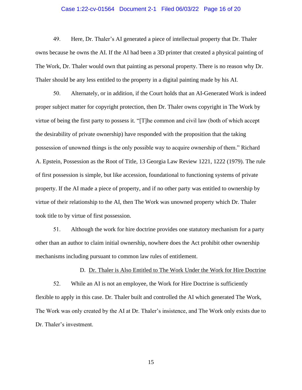#### Case 1:22-cv-01564 Document 2-1 Filed 06/03/22 Page 16 of 20

49. Here, Dr. Thaler's AI generated a piece of intellectual property that Dr. Thaler owns because he owns the AI. If the AI had been a 3D printer that created a physical painting of The Work, Dr. Thaler would own that painting as personal property. There is no reason why Dr. Thaler should be any less entitled to the property in a digital painting made by his AI.

50. Alternately, or in addition, if the Court holds that an AI-Generated Work is indeed proper subject matter for copyright protection, then Dr. Thaler owns copyright in The Work by virtue of being the first party to possess it. "[T]he common and civil law (both of which accept the desirability of private ownership) have responded with the proposition that the taking possession of unowned things is the only possible way to acquire ownership of them." Richard A. Epstein, Possession as the Root of Title, 13 Georgia Law Review 1221, 1222 (1979). The rule of first possession is simple, but like accession, foundational to functioning systems of private property. If the AI made a piece of property, and if no other party was entitled to ownership by virtue of their relationship to the AI, then The Work was unowned property which Dr. Thaler took title to by virtue of first possession.

51. Although the work for hire doctrine provides one statutory mechanism for a party other than an author to claim initial ownership, nowhere does the Act prohibit other ownership mechanisms including pursuant to common law rules of entitlement.

#### D. Dr. Thaler is Also Entitled to The Work Under the Work for Hire Doctrine

52. While an AI is not an employee, the Work for Hire Doctrine is sufficiently flexible to apply in this case. Dr. Thaler built and controlled the AI which generated The Work, The Work was only created by the AI at Dr. Thaler's insistence, and The Work only exists due to Dr. Thaler's investment.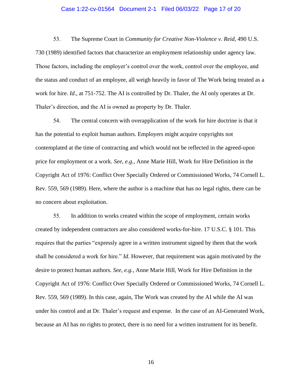#### Case 1:22-cv-01564 Document 2-1 Filed 06/03/22 Page 17 of 20

53. The Supreme Court in *Community for Creative Non-Violence v. Reid*, 490 U.S. 730 (1989) identified factors that characterize an employment relationship under agency law. Those factors, including the employer's control over the work, control over the employee, and the status and conduct of an employee, all weigh heavily in favor of The Work being treated as a work for hire. *Id*., at 751-752. The AI is controlled by Dr. Thaler, the AI only operates at Dr. Thaler's direction, and the AI is owned as property by Dr. Thaler.

54. The central concern with overapplication of the work for hire doctrine is that it has the potential to exploit human authors. Employers might acquire copyrights not contemplated at the time of contracting and which would not be reflected in the agreed-upon price for employment or a work. *See*, *e.g.*, Anne Marie Hill, Work for Hire Definition in the Copyright Act of 1976: Conflict Over Specially Ordered or Commissioned Works, 74 Cornell L. Rev. 559, 569 (1989). Here, where the author is a machine that has no legal rights, there can be no concern about exploitation.

55. In addition to works created within the scope of employment, certain works created by independent contractors are also considered works-for-hire. 17 U.S.C. § 101. This requires that the parties "expressly agree in a written instrument signed by them that the work shall be considered a work for hire." *Id*. However, that requirement was again motivated by the desire to protect human authors. *See*, *e.g.*, Anne Marie Hill, Work for Hire Definition in the Copyright Act of 1976: Conflict Over Specially Ordered or Commissioned Works, 74 Cornell L. Rev. 559, 569 (1989). In this case, again, The Work was created by the AI while the AI was under his control and at Dr. Thaler's request and expense. In the case of an AI-Generated Work, because an AI has no rights to protect, there is no need for a written instrument for its benefit.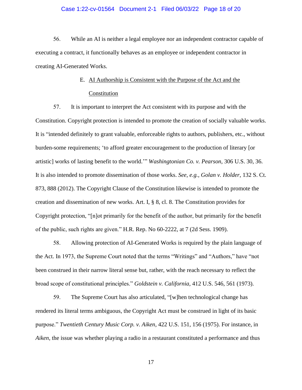#### Case 1:22-cv-01564 Document 2-1 Filed 06/03/22 Page 18 of 20

56. While an AI is neither a legal employee nor an independent contractor capable of executing a contract, it functionally behaves as an employee or independent contractor in creating AI-Generated Works.

# E. AI Authorship is Consistent with the Purpose of the Act and the Constitution

57. It is important to interpret the Act consistent with its purpose and with the Constitution. Copyright protection is intended to promote the creation of socially valuable works. It is "intended definitely to grant valuable, enforceable rights to authors, publishers, etc., without burden-some requirements; 'to afford greater encouragement to the production of literary [or artistic] works of lasting benefit to the world.'" *Washingtonian Co. v. Pearson*, 306 U.S. 30, 36. It is also intended to promote dissemination of those works. *See*, *e.g.*, *Golan v. Holder*, 132 S. Ct. 873, 888 (2012). The Copyright Clause of the Constitution likewise is intended to promote the creation and dissemination of new works. Art. I, § 8, cl. 8. The Constitution provides for Copyright protection, "[n]ot primarily for the benefit of the author, but primarily for the benefit of the public, such rights are given." H.R. Rep. No 60-2222, at 7 (2d Sess. 1909).

58. Allowing protection of AI-Generated Works is required by the plain language of the Act. In 1973, the Supreme Court noted that the terms "Writings" and "Authors," have "not been construed in their narrow literal sense but, rather, with the reach necessary to reflect the broad scope of constitutional principles." *Goldstein v. California*, 412 U.S. 546, 561 (1973).

59. The Supreme Court has also articulated, "[w]hen technological change has rendered its literal terms ambiguous, the Copyright Act must be construed in light of its basic purpose." *Twentieth Century Music Corp. v. Aiken*, 422 U.S. 151, 156 (1975). For instance, in *Aiken*, the issue was whether playing a radio in a restaurant constituted a performance and thus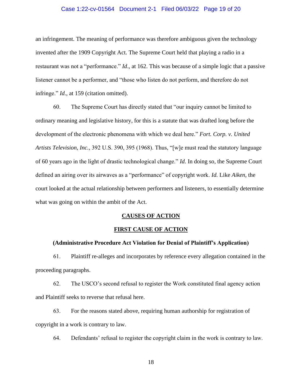#### Case 1:22-cv-01564 Document 2-1 Filed 06/03/22 Page 19 of 20

an infringement. The meaning of performance was therefore ambiguous given the technology invented after the 1909 Copyright Act. The Supreme Court held that playing a radio in a restaurant was not a "performance." *Id*., at 162. This was because of a simple logic that a passive listener cannot be a performer, and "those who listen do not perform, and therefore do not infringe." *Id*., at 159 (citation omitted).

60. The Supreme Court has directly stated that "our inquiry cannot be limited to ordinary meaning and legislative history, for this is a statute that was drafted long before the development of the electronic phenomena with which we deal here." *Fort. Corp. v. United Artists Television, Inc.*, 392 U.S. 390, 395 (1968). Thus, "[w]e must read the statutory language of 60 years ago in the light of drastic technological change." *Id.* In doing so, the Supreme Court defined an airing over its airwaves as a "performance" of copyright work. *Id.* Like *Aiken*, the court looked at the actual relationship between performers and listeners, to essentially determine what was going on within the ambit of the Act.

#### **CAUSES OF ACTION**

#### **FIRST CAUSE OF ACTION**

#### **(Administrative Procedure Act Violation for Denial of Plaintiff's Application)**

61. Plaintiff re-alleges and incorporates by reference every allegation contained in the proceeding paragraphs.

62. The USCO's second refusal to register the Work constituted final agency action and Plaintiff seeks to reverse that refusal here.

63. For the reasons stated above, requiring human authorship for registration of copyright in a work is contrary to law.

64. Defendants' refusal to register the copyright claim in the work is contrary to law.